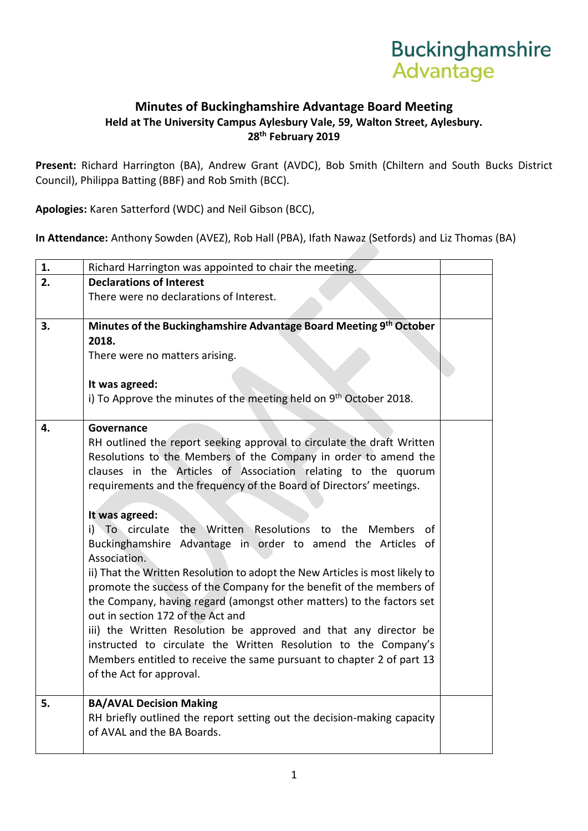## **Buckinghamshire** Advantage

## **Minutes of Buckinghamshire Advantage Board Meeting Held at The University Campus Aylesbury Vale, 59, Walton Street, Aylesbury. 28th February 2019**

**Present:** Richard Harrington (BA), Andrew Grant (AVDC), Bob Smith (Chiltern and South Bucks District Council), Philippa Batting (BBF) and Rob Smith (BCC).

**Apologies:** Karen Satterford (WDC) and Neil Gibson (BCC),

**In Attendance:** Anthony Sowden (AVEZ), Rob Hall (PBA), Ifath Nawaz (Setfords) and Liz Thomas (BA)

| 1. | Richard Harrington was appointed to chair the meeting.                                                     |  |  |  |  |  |
|----|------------------------------------------------------------------------------------------------------------|--|--|--|--|--|
| 2. | <b>Declarations of Interest</b>                                                                            |  |  |  |  |  |
|    | There were no declarations of Interest.                                                                    |  |  |  |  |  |
|    |                                                                                                            |  |  |  |  |  |
| 3. | Minutes of the Buckinghamshire Advantage Board Meeting 9th October                                         |  |  |  |  |  |
|    | 2018.                                                                                                      |  |  |  |  |  |
|    | There were no matters arising.                                                                             |  |  |  |  |  |
|    | It was agreed:                                                                                             |  |  |  |  |  |
|    | i) To Approve the minutes of the meeting held on 9th October 2018.                                         |  |  |  |  |  |
|    |                                                                                                            |  |  |  |  |  |
| 4. | Governance                                                                                                 |  |  |  |  |  |
|    | RH outlined the report seeking approval to circulate the draft Written                                     |  |  |  |  |  |
|    | Resolutions to the Members of the Company in order to amend the                                            |  |  |  |  |  |
|    | clauses in the Articles of Association relating to the quorum                                              |  |  |  |  |  |
|    | requirements and the frequency of the Board of Directors' meetings.                                        |  |  |  |  |  |
|    |                                                                                                            |  |  |  |  |  |
|    | It was agreed:                                                                                             |  |  |  |  |  |
|    | i) To circulate<br>the Written Resolutions to the Members<br>οf                                            |  |  |  |  |  |
|    | Buckinghamshire Advantage in order to amend the Articles of                                                |  |  |  |  |  |
|    | Association.                                                                                               |  |  |  |  |  |
|    | ii) That the Written Resolution to adopt the New Articles is most likely to                                |  |  |  |  |  |
|    | promote the success of the Company for the benefit of the members of                                       |  |  |  |  |  |
|    | the Company, having regard (amongst other matters) to the factors set<br>out in section 172 of the Act and |  |  |  |  |  |
|    | iii) the Written Resolution be approved and that any director be                                           |  |  |  |  |  |
|    | instructed to circulate the Written Resolution to the Company's                                            |  |  |  |  |  |
|    | Members entitled to receive the same pursuant to chapter 2 of part 13                                      |  |  |  |  |  |
|    | of the Act for approval.                                                                                   |  |  |  |  |  |
|    |                                                                                                            |  |  |  |  |  |
| 5. | <b>BA/AVAL Decision Making</b>                                                                             |  |  |  |  |  |
|    | RH briefly outlined the report setting out the decision-making capacity                                    |  |  |  |  |  |
|    | of AVAL and the BA Boards.                                                                                 |  |  |  |  |  |
|    |                                                                                                            |  |  |  |  |  |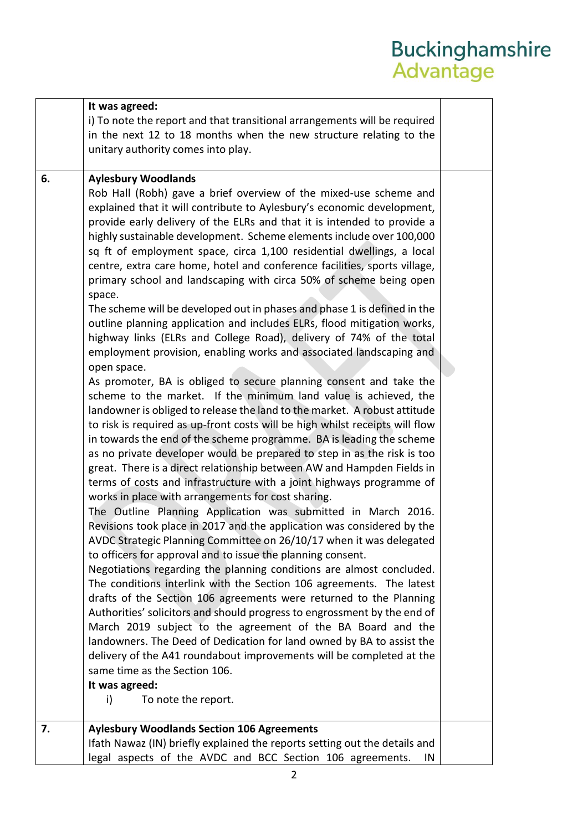## Buckinghamshire<br>Advantage

|    | It was agreed:                                                               |  |
|----|------------------------------------------------------------------------------|--|
|    | i) To note the report and that transitional arrangements will be required    |  |
|    | in the next 12 to 18 months when the new structure relating to the           |  |
|    | unitary authority comes into play.                                           |  |
|    |                                                                              |  |
| 6. | <b>Aylesbury Woodlands</b>                                                   |  |
|    | Rob Hall (Robh) gave a brief overview of the mixed-use scheme and            |  |
|    | explained that it will contribute to Aylesbury's economic development,       |  |
|    | provide early delivery of the ELRs and that it is intended to provide a      |  |
|    | highly sustainable development. Scheme elements include over 100,000         |  |
|    | sq ft of employment space, circa 1,100 residential dwellings, a local        |  |
|    | centre, extra care home, hotel and conference facilities, sports village,    |  |
|    | primary school and landscaping with circa 50% of scheme being open           |  |
|    | space.                                                                       |  |
|    | The scheme will be developed out in phases and phase 1 is defined in the     |  |
|    | outline planning application and includes ELRs, flood mitigation works,      |  |
|    | highway links (ELRs and College Road), delivery of 74% of the total          |  |
|    | employment provision, enabling works and associated landscaping and          |  |
|    | open space.                                                                  |  |
|    | As promoter, BA is obliged to secure planning consent and take the           |  |
|    | scheme to the market. If the minimum land value is achieved, the             |  |
|    | landowner is obliged to release the land to the market. A robust attitude    |  |
|    | to risk is required as up-front costs will be high whilst receipts will flow |  |
|    | in towards the end of the scheme programme. BA is leading the scheme         |  |
|    | as no private developer would be prepared to step in as the risk is too      |  |
|    | great. There is a direct relationship between AW and Hampden Fields in       |  |
|    | terms of costs and infrastructure with a joint highways programme of         |  |
|    | works in place with arrangements for cost sharing.                           |  |
|    | The Outline Planning Application was submitted in March 2016.                |  |
|    | Revisions took place in 2017 and the application was considered by the       |  |
|    | AVDC Strategic Planning Committee on 26/10/17 when it was delegated          |  |
|    | to officers for approval and to issue the planning consent.                  |  |
|    | Negotiations regarding the planning conditions are almost concluded.         |  |
|    | The conditions interlink with the Section 106 agreements. The latest         |  |
|    | drafts of the Section 106 agreements were returned to the Planning           |  |
|    | Authorities' solicitors and should progress to engrossment by the end of     |  |
|    | March 2019 subject to the agreement of the BA Board and the                  |  |
|    | landowners. The Deed of Dedication for land owned by BA to assist the        |  |
|    | delivery of the A41 roundabout improvements will be completed at the         |  |
|    | same time as the Section 106.                                                |  |
|    | It was agreed:                                                               |  |
|    | To note the report.<br>i)                                                    |  |
|    |                                                                              |  |
| 7. | <b>Aylesbury Woodlands Section 106 Agreements</b>                            |  |
|    | Ifath Nawaz (IN) briefly explained the reports setting out the details and   |  |
|    | legal aspects of the AVDC and BCC Section 106 agreements.<br>IN              |  |
|    |                                                                              |  |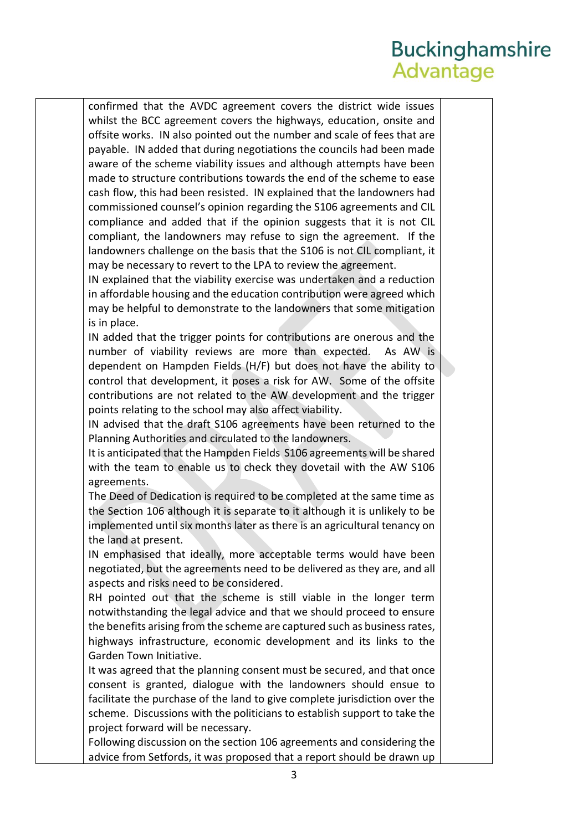## **Buckinghamshire** Advantage

confirmed that the AVDC agreement covers the district wide issues whilst the BCC agreement covers the highways, education, onsite and offsite works. IN also pointed out the number and scale of fees that are payable. IN added that during negotiations the councils had been made aware of the scheme viability issues and although attempts have been made to structure contributions towards the end of the scheme to ease cash flow, this had been resisted. IN explained that the landowners had commissioned counsel's opinion regarding the S106 agreements and CIL compliance and added that if the opinion suggests that it is not CIL compliant, the landowners may refuse to sign the agreement. If the landowners challenge on the basis that the S106 is not CIL compliant, it may be necessary to revert to the LPA to review the agreement.

IN explained that the viability exercise was undertaken and a reduction in affordable housing and the education contribution were agreed which may be helpful to demonstrate to the landowners that some mitigation is in place.

IN added that the trigger points for contributions are onerous and the number of viability reviews are more than expected. As AW is dependent on Hampden Fields (H/F) but does not have the ability to control that development, it poses a risk for AW. Some of the offsite contributions are not related to the AW development and the trigger points relating to the school may also affect viability.

IN advised that the draft S106 agreements have been returned to the Planning Authorities and circulated to the landowners.

It is anticipated that the Hampden Fields S106 agreements will be shared with the team to enable us to check they dovetail with the AW S106 agreements.

The Deed of Dedication is required to be completed at the same time as the Section 106 although it is separate to it although it is unlikely to be implemented until six months later as there is an agricultural tenancy on the land at present.

IN emphasised that ideally, more acceptable terms would have been negotiated, but the agreements need to be delivered as they are, and all aspects and risks need to be considered.

RH pointed out that the scheme is still viable in the longer term notwithstanding the legal advice and that we should proceed to ensure the benefits arising from the scheme are captured such as business rates, highways infrastructure, economic development and its links to the Garden Town Initiative.

It was agreed that the planning consent must be secured, and that once consent is granted, dialogue with the landowners should ensue to facilitate the purchase of the land to give complete jurisdiction over the scheme. Discussions with the politicians to establish support to take the project forward will be necessary.

Following discussion on the section 106 agreements and considering the advice from Setfords, it was proposed that a report should be drawn up